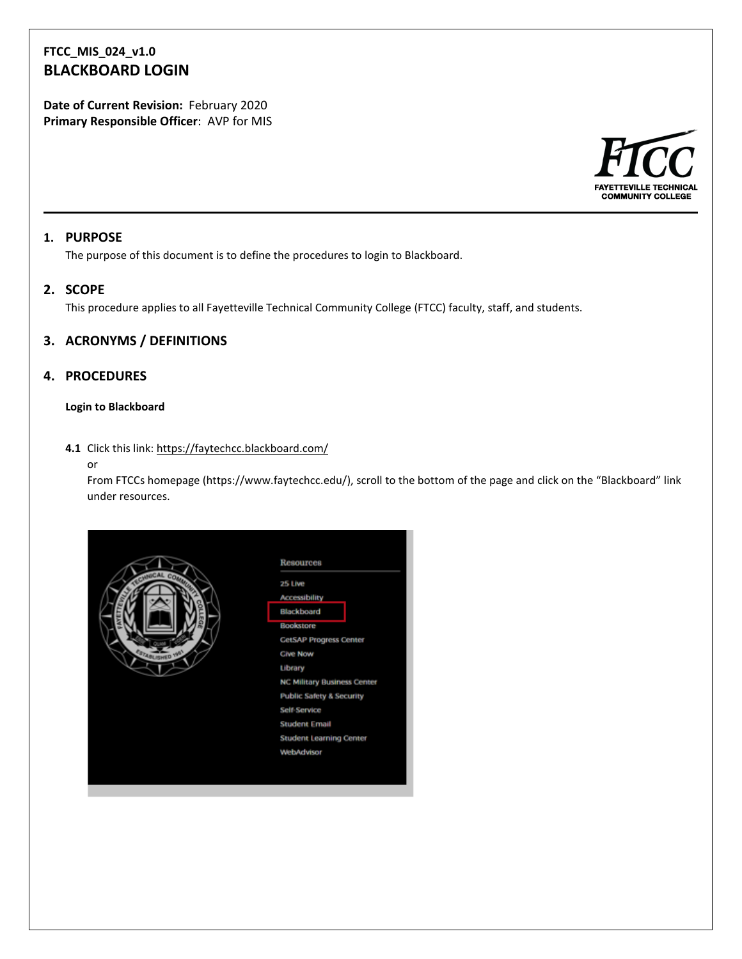# **FTCC\_MIS\_024\_v1.0 BLACKBOARD LOGIN**

**Date of Current Revision:** February 2020 **Primary Responsible Officer**: AVP for MIS



#### **1. PURPOSE**

The purpose of this document is to define the procedures to login to Blackboard.

# **2. SCOPE**

This procedure applies to all Fayetteville Technical Community College (FTCC) faculty, staff, and students.

### **3. ACRONYMS / DEFINITIONS**

### **4. PROCEDURES**

#### **Login to Blackboard**

#### **4.1** Click this link:<https://faytechcc.blackboard.com/>

#### or

From FTCCs homepage [\(https://www.faytechcc.edu/\)](https://www.faytechcc.edu/), scroll to the bottom of the page and click on the "Blackboard" link under resources.

|                      | Resources                           |
|----------------------|-------------------------------------|
| CHANCAL COM          | 25 Live                             |
|                      | <b>Accessibility</b>                |
|                      | Blackboard                          |
|                      | <b>Bookstore</b>                    |
|                      | <b>CetSAP Progress Center</b>       |
| <b>STARLISHED YN</b> | <b>Cive Now</b>                     |
|                      | Library                             |
|                      | <b>NC Military Business Center</b>  |
|                      | <b>Public Safety &amp; Security</b> |
|                      | Self Service                        |
|                      | <b>Student Email</b>                |
|                      | <b>Student Learning Center</b>      |
|                      | WebAdvisor                          |
|                      |                                     |
|                      |                                     |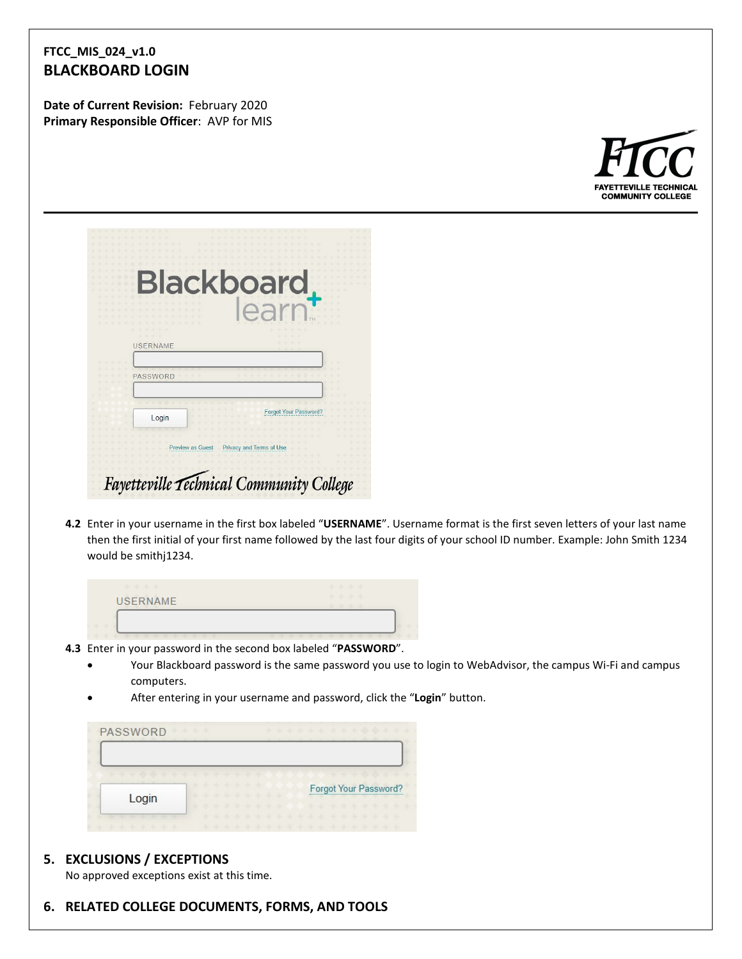# **FTCC\_MIS\_024\_v1.0 BLACKBOARD LOGIN**

**Date of Current Revision:** February 2020 **Primary Responsible Officer**: AVP for MIS



|                 |                         | <b>Blackboard</b>            |  |
|-----------------|-------------------------|------------------------------|--|
|                 |                         | earn                         |  |
| <b>USERNAME</b> |                         |                              |  |
| PASSWORD        |                         |                              |  |
| Login           |                         | <b>Forgot Your Password?</b> |  |
|                 | <b>Preview as Guest</b> | Privacy and Terms of Use     |  |

**4.2** Enter in your username in the first box labeled "**USERNAME**". Username format is the first seven letters of your last name then the first initial of your first name followed by the last four digits of your school ID number. Example: John Smith 1234 would be smithj1234.

| <b>USERNAME</b> | × |
|-----------------|---|
|                 |   |
|                 |   |
|                 |   |
|                 |   |

- **4.3** Enter in your password in the second box labeled "**PASSWORD**".
	- Your Blackboard password is the same password you use to login to WebAdvisor, the campus Wi-Fi and campus computers.
	- After entering in your username and password, click the "**Login**" button.

| PASSWORD                      | .                       | * * * * * * * * * * * * * *       |
|-------------------------------|-------------------------|-----------------------------------|
| * * * * * * * * * * * * * * * | the six one are the six | de concerto de de la cal-         |
|                               |                         | <b>Forgot Your Password?</b>      |
| Login                         | the sheet the<br>×      | ------------<br>***************** |

# **5. EXCLUSIONS / EXCEPTIONS**

No approved exceptions exist at this time.

**6. RELATED COLLEGE DOCUMENTS, FORMS, AND TOOLS**